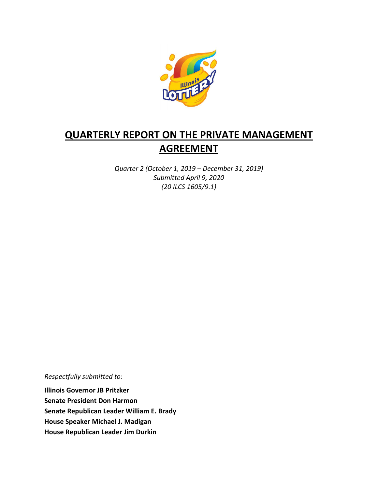

# QUARTERLY REPORT ON THE PRIVATE MANAGEMENT AGREEMENT

Quarter 2 (October 1, 2019 – December 31, 2019) Submitted April 9, 2020 (20 ILCS 1605/9.1)

Respectfully submitted to:

Illinois Governor JB Pritzker Senate President Don Harmon Senate Republican Leader William E. Brady House Speaker Michael J. Madigan House Republican Leader Jim Durkin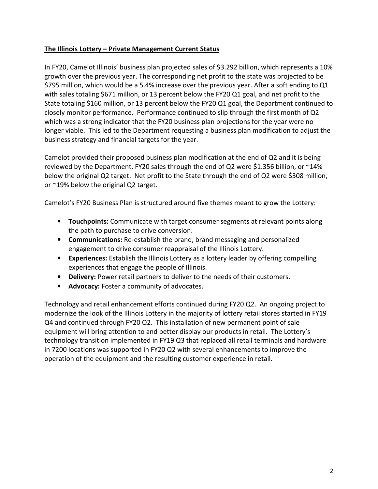## The Illinois Lottery – Private Management Current Status

In FY20, Camelot Illinois' business plan projected sales of \$3.292 billion, which represents a 10% growth over the previous year. The corresponding net profit to the state was projected to be \$795 million, which would be a 5.4% increase over the previous year. After a soft ending to Q1 with sales totaling \$671 million, or 13 percent below the FY20 Q1 goal, and net profit to the State totaling \$160 million, or 13 percent below the FY20 Q1 goal, the Department continued to closely monitor performance. Performance continued to slip through the first month of Q2 which was a strong indicator that the FY20 business plan projections for the year were no longer viable. This led to the Department requesting a business plan modification to adjust the business strategy and financial targets for the year.

Camelot provided their proposed business plan modification at the end of Q2 and it is being reviewed by the Department. FY20 sales through the end of Q2 were \$1.356 billion, or ~14% below the original Q2 target. Net profit to the State through the end of Q2 were \$308 million, or ~19% below the original Q2 target.

Camelot's FY20 Business Plan is structured around five themes meant to grow the Lottery:

- Touchpoints: Communicate with target consumer segments at relevant points along the path to purchase to drive conversion.
- Communications: Re-establish the brand, brand messaging and personalized engagement to drive consumer reappraisal of the Illinois Lottery.
- Experiences: Establish the Illinois Lottery as a lottery leader by offering compelling experiences that engage the people of Illinois.
- Delivery: Power retail partners to deliver to the needs of their customers.
- Advocacy: Foster a community of advocates.

Technology and retail enhancement efforts continued during FY20 Q2. An ongoing project to modernize the look of the Illinois Lottery in the majority of lottery retail stores started in FY19 Q4 and continued through FY20 Q2. This installation of new permanent point of sale equipment will bring attention to and better display our products in retail. The Lottery's technology transition implemented in FY19 Q3 that replaced all retail terminals and hardware in 7200 locations was supported in FY20 Q2 with several enhancements to improve the operation of the equipment and the resulting customer experience in retail.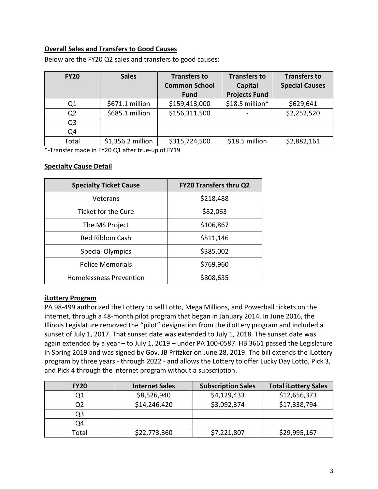## Overall Sales and Transfers to Good Causes

| <b>FY20</b>    | <b>Sales</b>      | <b>Transfers to</b>  | <b>Transfers to</b>  | <b>Transfers to</b>   |
|----------------|-------------------|----------------------|----------------------|-----------------------|
|                |                   | <b>Common School</b> | Capital              | <b>Special Causes</b> |
|                |                   | <b>Fund</b>          | <b>Projects Fund</b> |                       |
| Q1             | \$671.1 million   | \$159,413,000        | \$18.5 million*      | \$629,641             |
| Q <sub>2</sub> | \$685.1 million   | \$156,311,500        |                      | \$2,252,520           |
| Q <sub>3</sub> |                   |                      |                      |                       |
| Q4             |                   |                      |                      |                       |
| Total          | \$1,356.2 million | \$315,724,500        | \$18.5 million       | \$2,882,161           |

Below are the FY20 Q2 sales and transfers to good causes:

\*-Transfer made in FY20 Q1 after true-up of FY19

#### Specialty Cause Detail

| <b>Specialty Ticket Cause</b>  | <b>FY20 Transfers thru Q2</b> |  |
|--------------------------------|-------------------------------|--|
| Veterans                       | \$218,488                     |  |
| Ticket for the Cure            | \$82,063                      |  |
| The MS Project                 | \$106,867                     |  |
| Red Ribbon Cash                | \$511,146                     |  |
| <b>Special Olympics</b>        | \$385,002                     |  |
| <b>Police Memorials</b>        | \$769,960                     |  |
| <b>Homelessness Prevention</b> | \$808,635                     |  |

#### iLottery Program

PA 98-499 authorized the Lottery to sell Lotto, Mega Millions, and Powerball tickets on the internet, through a 48-month pilot program that began in January 2014. In June 2016, the Illinois Legislature removed the "pilot" designation from the iLottery program and included a sunset of July 1, 2017. That sunset date was extended to July 1, 2018. The sunset date was again extended by a year – to July 1, 2019 – under PA 100-0587. HB 3661 passed the Legislature in Spring 2019 and was signed by Gov. JB Pritzker on June 28, 2019. The bill extends the iLottery program by three years - through 2022 - and allows the Lottery to offer Lucky Day Lotto, Pick 3, and Pick 4 through the internet program without a subscription.

| <b>FY20</b> | <b>Internet Sales</b> | <b>Subscription Sales</b> | <b>Total iLottery Sales</b> |
|-------------|-----------------------|---------------------------|-----------------------------|
|             | \$8,526,940           | \$4,129,433               | \$12,656,373                |
|             | \$14,246,420          | \$3,092,374               | \$17,338,794                |
| Q3          |                       |                           |                             |
| Q4          |                       |                           |                             |
| Total       | \$22,773,360          | \$7,221,807               | \$29,995,167                |